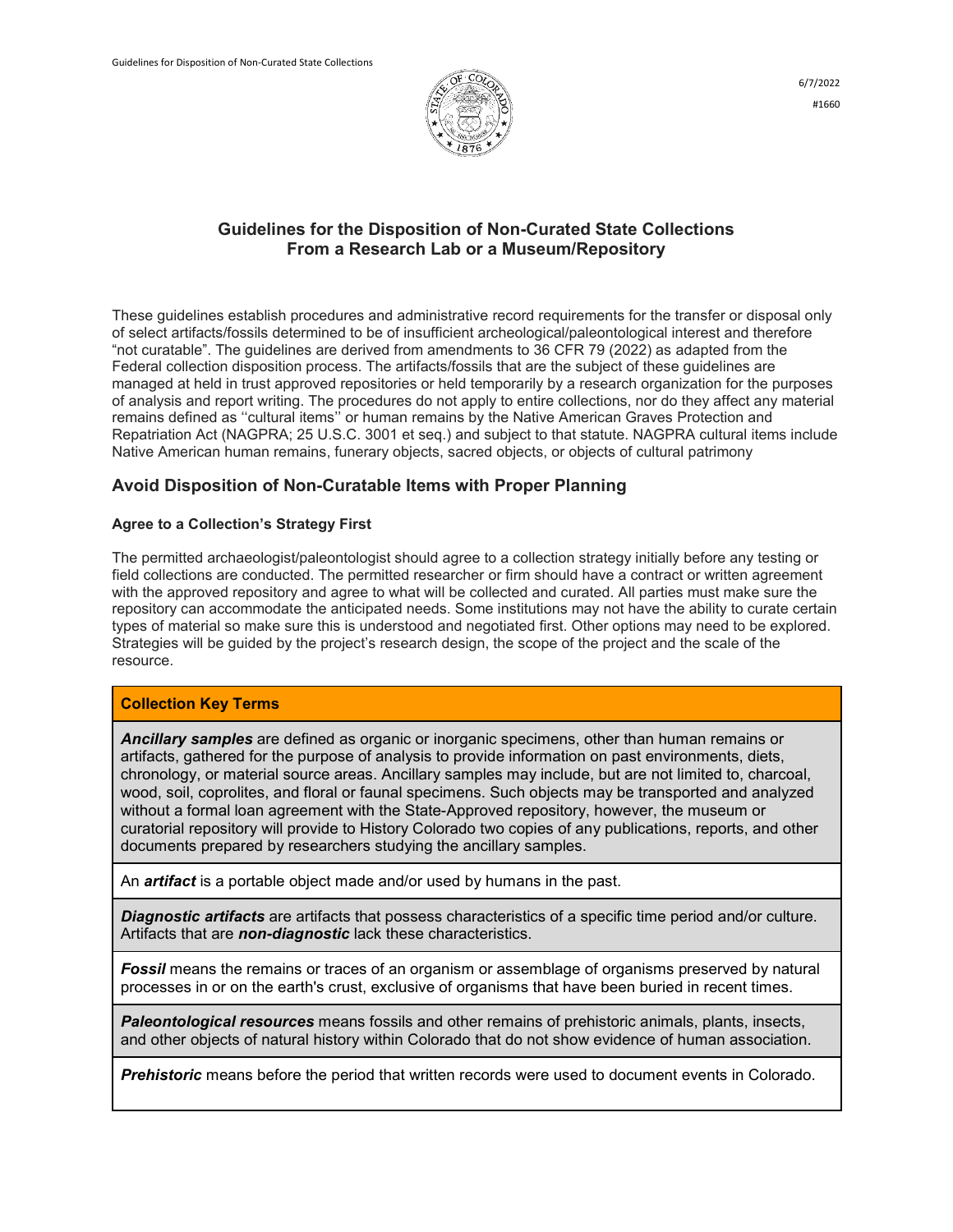

#### **Guidelines for the Disposition of Non-Curated State Collections From a Research Lab or a Museum/Repository**

These guidelines establish procedures and administrative record requirements for the transfer or disposal only of select artifacts/fossils determined to be of insufficient archeological/paleontological interest and therefore "not curatable". The guidelines are derived from amendments to 36 CFR 79 (2022) as adapted from the Federal collection disposition process. The artifacts/fossils that are the subject of these guidelines are managed at held in trust approved repositories or held temporarily by a research organization for the purposes of analysis and report writing. The procedures do not apply to entire collections, nor do they affect any material remains defined as ''cultural items'' or human remains by the Native American Graves Protection and Repatriation Act (NAGPRA; 25 U.S.C. 3001 et seq.) and subject to that statute. NAGPRA cultural items include Native American human remains, funerary objects, sacred objects, or objects of cultural patrimony

## **Avoid Disposition of Non-Curatable Items with Proper Planning**

#### **Agree to a Collection's Strategy First**

The permitted archaeologist/paleontologist should agree to a collection strategy initially before any testing or field collections are conducted. The permitted researcher or firm should have a contract or written agreement with the approved repository and agree to what will be collected and curated. All parties must make sure the repository can accommodate the anticipated needs. Some institutions may not have the ability to curate certain types of material so make sure this is understood and negotiated first. Other options may need to be explored. Strategies will be guided by the project's research design, the scope of the project and the scale of the resource.

#### **Collection Key Terms**

*Ancillary samples* are defined as organic or inorganic specimens, other than human remains or artifacts, gathered for the purpose of analysis to provide information on past environments, diets, chronology, or material source areas. Ancillary samples may include, but are not limited to, charcoal, wood, soil, coprolites, and floral or faunal specimens. Such objects may be transported and analyzed without a formal loan agreement with the State-Approved repository, however, the museum or curatorial repository will provide to History Colorado two copies of any publications, reports, and other documents prepared by researchers studying the ancillary samples.

An *artifact* is a portable object made and/or used by humans in the past.

*Diagnostic artifacts* are artifacts that possess characteristics of a specific time period and/or culture. Artifacts that are *non-diagnostic* lack these characteristics.

**Fossil** means the remains or traces of an organism or assemblage of organisms preserved by natural processes in or on the earth's crust, exclusive of organisms that have been buried in recent times.

*Paleontological resources* means fossils and other remains of prehistoric animals, plants, insects, and other objects of natural history within Colorado that do not show evidence of human association.

*Prehistoric* means before the period that written records were used to document events in Colorado.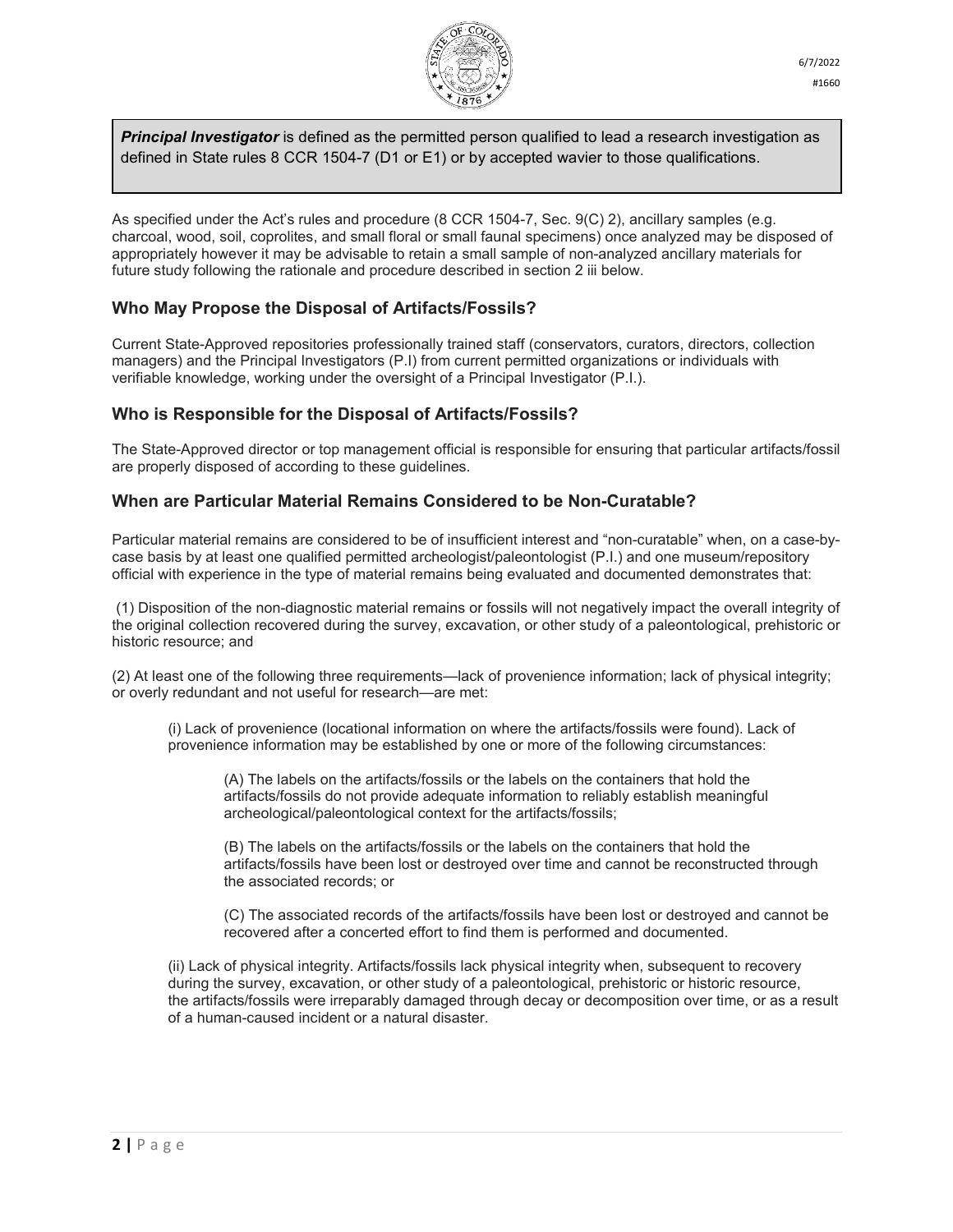

*Principal Investigator* is defined as the permitted person qualified to lead a research investigation as defined in State rules 8 CCR 1504-7 (D1 or E1) or by accepted wavier to those qualifications.

As specified under the Act's rules and procedure (8 CCR 1504-7, Sec. 9(C) 2), ancillary samples (e.g. charcoal, wood, soil, coprolites, and small floral or small faunal specimens) once analyzed may be disposed of appropriately however it may be advisable to retain a small sample of non-analyzed ancillary materials for future study following the rationale and procedure described in section 2 iii below.

## **Who May Propose the Disposal of Artifacts/Fossils?**

Current State-Approved repositories professionally trained staff (conservators, curators, directors, collection managers) and the Principal Investigators (P.I) from current permitted organizations or individuals with verifiable knowledge, working under the oversight of a Principal Investigator (P.I.).

## **Who is Responsible for the Disposal of Artifacts/Fossils?**

The State-Approved director or top management official is responsible for ensuring that particular artifacts/fossil are properly disposed of according to these guidelines.

#### **When are Particular Material Remains Considered to be Non-Curatable?**

Particular material remains are considered to be of insufficient interest and "non-curatable" when, on a case-bycase basis by at least one qualified permitted archeologist/paleontologist (P.I.) and one museum/repository official with experience in the type of material remains being evaluated and documented demonstrates that:

(1) Disposition of the non-diagnostic material remains or fossils will not negatively impact the overall integrity of the original collection recovered during the survey, excavation, or other study of a paleontological, prehistoric or historic resource; and

(2) At least one of the following three requirements—lack of provenience information; lack of physical integrity; or overly redundant and not useful for research—are met:

(i) Lack of provenience (locational information on where the artifacts/fossils were found). Lack of provenience information may be established by one or more of the following circumstances:

(A) The labels on the artifacts/fossils or the labels on the containers that hold the artifacts/fossils do not provide adequate information to reliably establish meaningful archeological/paleontological context for the artifacts/fossils;

(B) The labels on the artifacts/fossils or the labels on the containers that hold the artifacts/fossils have been lost or destroyed over time and cannot be reconstructed through the associated records; or

(C) The associated records of the artifacts/fossils have been lost or destroyed and cannot be recovered after a concerted effort to find them is performed and documented.

(ii) Lack of physical integrity. Artifacts/fossils lack physical integrity when, subsequent to recovery during the survey, excavation, or other study of a paleontological, prehistoric or historic resource, the artifacts/fossils were irreparably damaged through decay or decomposition over time, or as a result of a human-caused incident or a natural disaster.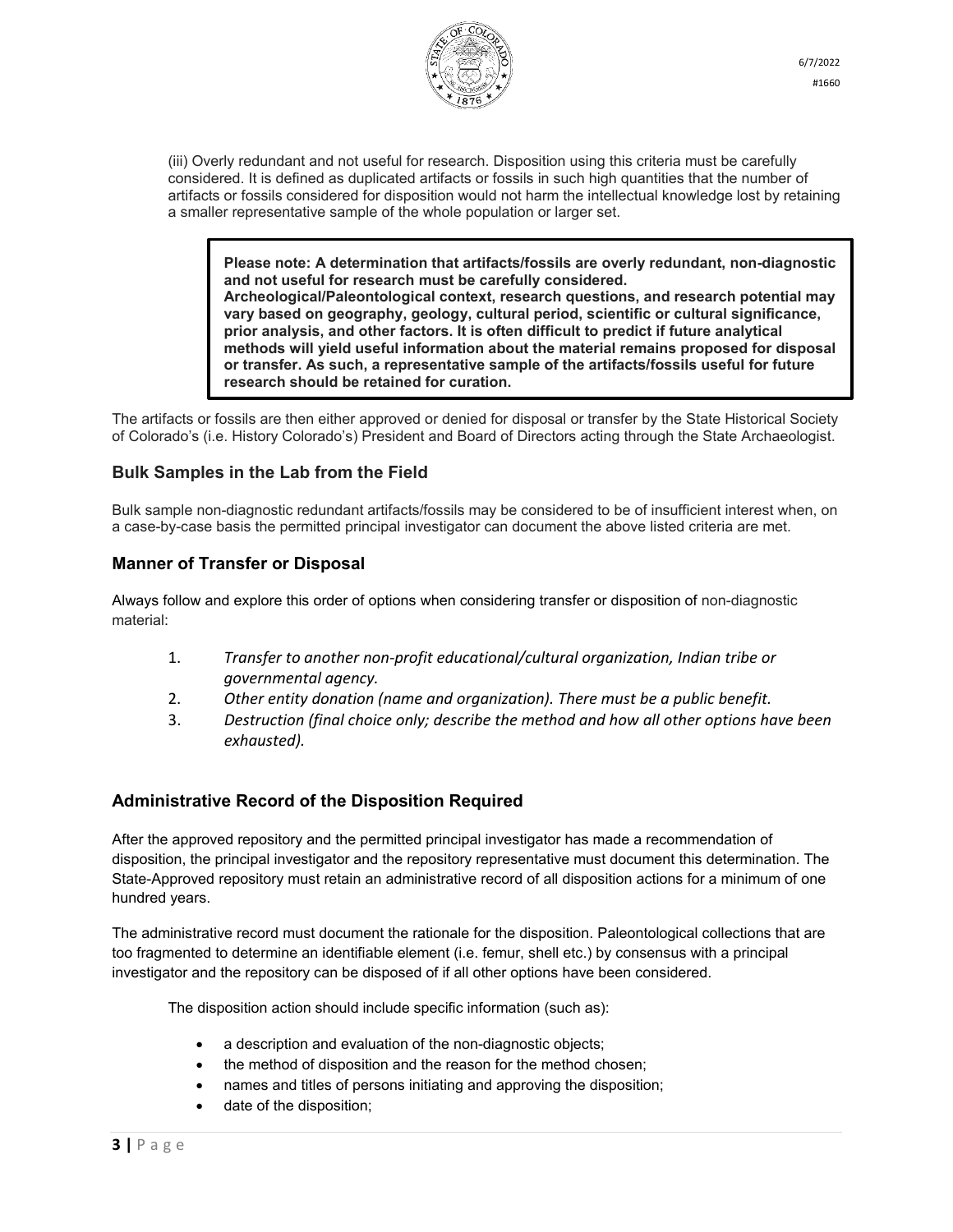

(iii) Overly redundant and not useful for research. Disposition using this criteria must be carefully considered. It is defined as duplicated artifacts or fossils in such high quantities that the number of artifacts or fossils considered for disposition would not harm the intellectual knowledge lost by retaining a smaller representative sample of the whole population or larger set.

**Please note: A determination that artifacts/fossils are overly redundant, non-diagnostic and not useful for research must be carefully considered. Archeological/Paleontological context, research questions, and research potential may vary based on geography, geology, cultural period, scientific or cultural significance, prior analysis, and other factors. It is often difficult to predict if future analytical methods will yield useful information about the material remains proposed for disposal or transfer. As such, a representative sample of the artifacts/fossils useful for future research should be retained for curation.**

The artifacts or fossils are then either approved or denied for disposal or transfer by the State Historical Society of Colorado's (i.e. History Colorado's) President and Board of Directors acting through the State Archaeologist.

## **Bulk Samples in the Lab from the Field**

Bulk sample non-diagnostic redundant artifacts/fossils may be considered to be of insufficient interest when, on a case-by-case basis the permitted principal investigator can document the above listed criteria are met.

#### **Manner of Transfer or Disposal**

Always follow and explore this order of options when considering transfer or disposition of non-diagnostic material:

- 1. *Transfer to another non-profit educational/cultural organization, Indian tribe or governmental agency.*
- 2. *Other entity donation (name and organization). There must be a public benefit.*
- 3. *Destruction (final choice only; describe the method and how all other options have been exhausted).*

## **Administrative Record of the Disposition Required**

After the approved repository and the permitted principal investigator has made a recommendation of disposition, the principal investigator and the repository representative must document this determination. The State-Approved repository must retain an administrative record of all disposition actions for a minimum of one hundred years.

The administrative record must document the rationale for the disposition. Paleontological collections that are too fragmented to determine an identifiable element (i.e. femur, shell etc.) by consensus with a principal investigator and the repository can be disposed of if all other options have been considered.

The disposition action should include specific information (such as):

- a description and evaluation of the non-diagnostic objects;
- the method of disposition and the reason for the method chosen;
- names and titles of persons initiating and approving the disposition;
- date of the disposition;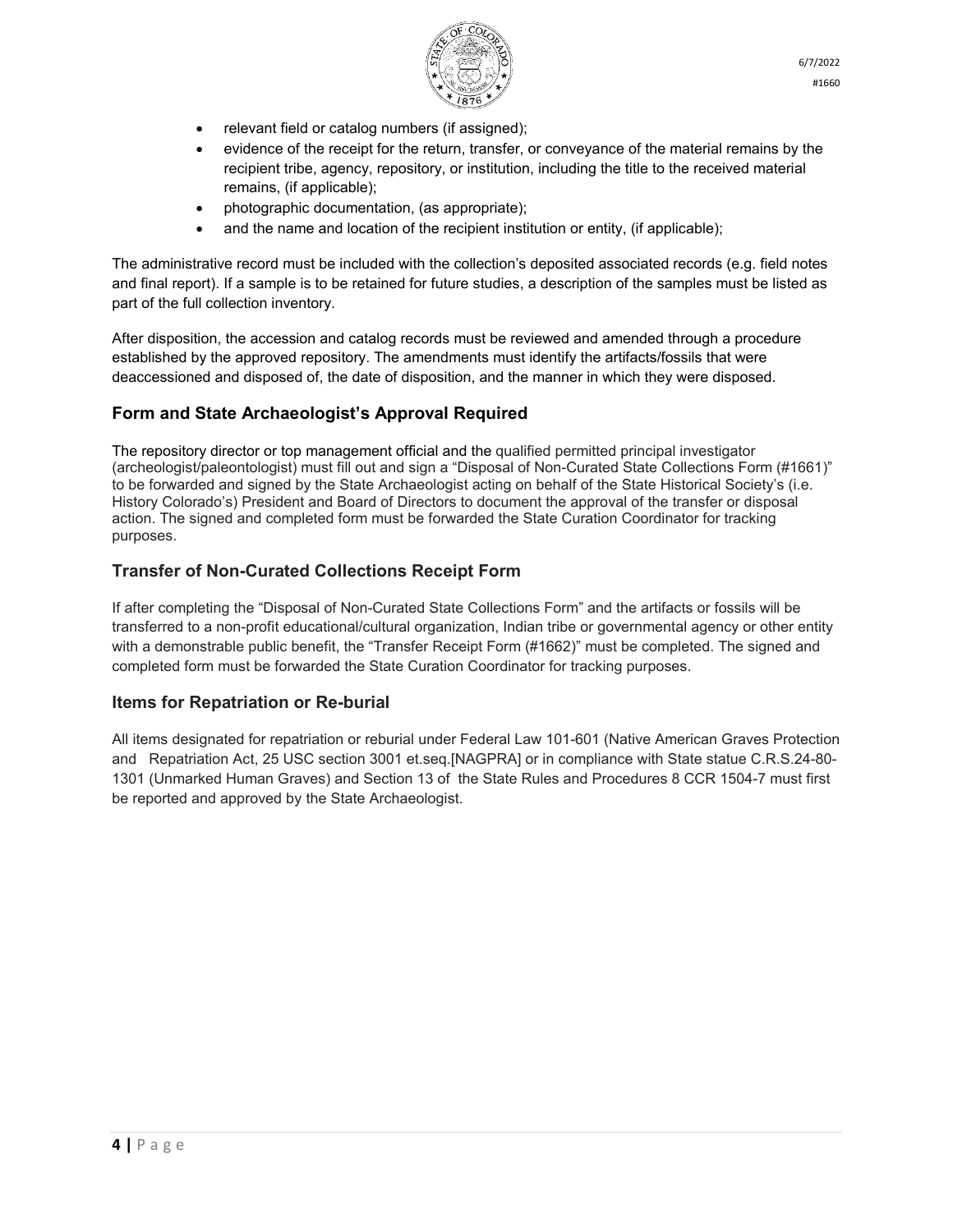

- relevant field or catalog numbers (if assigned);
- evidence of the receipt for the return, transfer, or conveyance of the material remains by the recipient tribe, agency, repository, or institution, including the title to the received material remains, (if applicable);
- photographic documentation, (as appropriate);
- and the name and location of the recipient institution or entity, (if applicable);

The administrative record must be included with the collection's deposited associated records (e.g. field notes and final report). If a sample is to be retained for future studies, a description of the samples must be listed as part of the full collection inventory.

After disposition, the accession and catalog records must be reviewed and amended through a procedure established by the approved repository. The amendments must identify the artifacts/fossils that were deaccessioned and disposed of, the date of disposition, and the manner in which they were disposed.

# **Form and State Archaeologist's Approval Required**

The repository director or top management official and the qualified permitted principal investigator (archeologist/paleontologist) must fill out and sign a "Disposal of Non-Curated State Collections Form (#1661)" to be forwarded and signed by the State Archaeologist acting on behalf of the State Historical Society's (i.e. History Colorado's) President and Board of Directors to document the approval of the transfer or disposal action. The signed and completed form must be forwarded the State Curation Coordinator for tracking purposes.

# **Transfer of Non-Curated Collections Receipt Form**

If after completing the "Disposal of Non-Curated State Collections Form" and the artifacts or fossils will be transferred to a non-profit educational/cultural organization, Indian tribe or governmental agency or other entity with a demonstrable public benefit, the "Transfer Receipt Form (#1662)" must be completed. The signed and completed form must be forwarded the State Curation Coordinator for tracking purposes.

## **Items for Repatriation or Re-burial**

All items designated for repatriation or reburial under Federal Law 101-601 (Native American Graves Protection and Repatriation Act, 25 USC section 3001 et.seq.[NAGPRA] or in compliance with State statue C.R.S.24-80- 1301 (Unmarked Human Graves) and Section 13 of the State Rules and Procedures 8 CCR 1504-7 must first be reported and approved by the State Archaeologist.